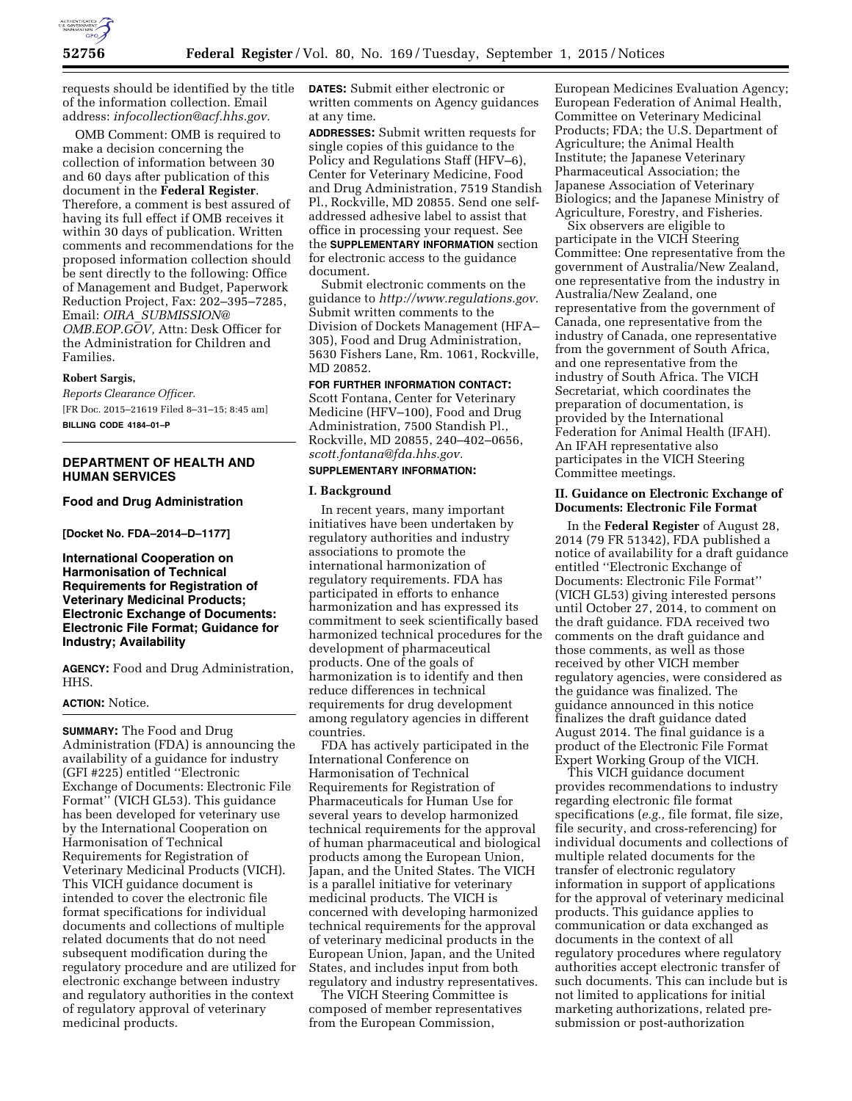

requests should be identified by the title of the information collection. Email address: *[infocollection@acf.hhs.gov.](mailto:infocollection@acf.hhs.gov)* 

OMB Comment: OMB is required to make a decision concerning the collection of information between 30 and 60 days after publication of this document in the **Federal Register**. Therefore, a comment is best assured of having its full effect if OMB receives it within 30 days of publication. Written comments and recommendations for the proposed information collection should be sent directly to the following: Office of Management and Budget, Paperwork Reduction Project, Fax: 202–395–7285, Email: *OIRA*\_*[SUBMISSION@](mailto:OIRA_SUBMISSION@OMB.EOP.GOV) [OMB.EOP.GOV,](mailto:OIRA_SUBMISSION@OMB.EOP.GOV)* Attn: Desk Officer for the Administration for Children and Families.

#### **Robert Sargis,**

*Reports Clearance Officer.*  [FR Doc. 2015–21619 Filed 8–31–15; 8:45 am] **BILLING CODE 4184–01–P** 

## **DEPARTMENT OF HEALTH AND HUMAN SERVICES**

# **Food and Drug Administration**

**[Docket No. FDA–2014–D–1177]** 

## **International Cooperation on Harmonisation of Technical Requirements for Registration of Veterinary Medicinal Products; Electronic Exchange of Documents: Electronic File Format; Guidance for Industry; Availability**

**AGENCY:** Food and Drug Administration, HHS.

#### **ACTION:** Notice.

**SUMMARY:** The Food and Drug Administration (FDA) is announcing the availability of a guidance for industry (GFI #225) entitled ''Electronic Exchange of Documents: Electronic File Format'' (VICH GL53). This guidance has been developed for veterinary use by the International Cooperation on Harmonisation of Technical Requirements for Registration of Veterinary Medicinal Products (VICH). This VICH guidance document is intended to cover the electronic file format specifications for individual documents and collections of multiple related documents that do not need subsequent modification during the regulatory procedure and are utilized for electronic exchange between industry and regulatory authorities in the context of regulatory approval of veterinary medicinal products.

**DATES:** Submit either electronic or written comments on Agency guidances at any time.

**ADDRESSES:** Submit written requests for single copies of this guidance to the Policy and Regulations Staff (HFV–6), Center for Veterinary Medicine, Food and Drug Administration, 7519 Standish Pl., Rockville, MD 20855. Send one selfaddressed adhesive label to assist that office in processing your request. See the **SUPPLEMENTARY INFORMATION** section for electronic access to the guidance document.

Submit electronic comments on the guidance to *[http://www.regulations.gov.](http://www.regulations.gov)*  Submit written comments to the Division of Dockets Management (HFA– 305), Food and Drug Administration, 5630 Fishers Lane, Rm. 1061, Rockville, MD 20852.

**FOR FURTHER INFORMATION CONTACT:**  Scott Fontana, Center for Veterinary Medicine (HFV–100), Food and Drug Administration, 7500 Standish Pl., Rockville, MD 20855, 240–402–0656, *[scott.fontana@fda.hhs.gov.](mailto:scott.fontana@fda.hhs.gov)* 

## **SUPPLEMENTARY INFORMATION:**

#### **I. Background**

In recent years, many important initiatives have been undertaken by regulatory authorities and industry associations to promote the international harmonization of regulatory requirements. FDA has participated in efforts to enhance harmonization and has expressed its commitment to seek scientifically based harmonized technical procedures for the development of pharmaceutical products. One of the goals of harmonization is to identify and then reduce differences in technical requirements for drug development among regulatory agencies in different countries.

FDA has actively participated in the International Conference on Harmonisation of Technical Requirements for Registration of Pharmaceuticals for Human Use for several years to develop harmonized technical requirements for the approval of human pharmaceutical and biological products among the European Union, Japan, and the United States. The VICH is a parallel initiative for veterinary medicinal products. The VICH is concerned with developing harmonized technical requirements for the approval of veterinary medicinal products in the European Union, Japan, and the United States, and includes input from both regulatory and industry representatives.

The VICH Steering Committee is composed of member representatives from the European Commission,

European Medicines Evaluation Agency; European Federation of Animal Health, Committee on Veterinary Medicinal Products; FDA; the U.S. Department of Agriculture; the Animal Health Institute; the Japanese Veterinary Pharmaceutical Association; the Japanese Association of Veterinary Biologics; and the Japanese Ministry of Agriculture, Forestry, and Fisheries.

Six observers are eligible to participate in the VICH Steering Committee: One representative from the government of Australia/New Zealand, one representative from the industry in Australia/New Zealand, one representative from the government of Canada, one representative from the industry of Canada, one representative from the government of South Africa, and one representative from the industry of South Africa. The VICH Secretariat, which coordinates the preparation of documentation, is provided by the International Federation for Animal Health (IFAH). An IFAH representative also participates in the VICH Steering Committee meetings.

#### **II. Guidance on Electronic Exchange of Documents: Electronic File Format**

In the **Federal Register** of August 28, 2014 (79 FR 51342), FDA published a notice of availability for a draft guidance entitled ''Electronic Exchange of Documents: Electronic File Format'' (VICH GL53) giving interested persons until October 27, 2014, to comment on the draft guidance. FDA received two comments on the draft guidance and those comments, as well as those received by other VICH member regulatory agencies, were considered as the guidance was finalized. The guidance announced in this notice finalizes the draft guidance dated August 2014. The final guidance is a product of the Electronic File Format Expert Working Group of the VICH.

This VICH guidance document provides recommendations to industry regarding electronic file format specifications (*e.g.,* file format, file size, file security, and cross-referencing) for individual documents and collections of multiple related documents for the transfer of electronic regulatory information in support of applications for the approval of veterinary medicinal products. This guidance applies to communication or data exchanged as documents in the context of all regulatory procedures where regulatory authorities accept electronic transfer of such documents. This can include but is not limited to applications for initial marketing authorizations, related presubmission or post-authorization